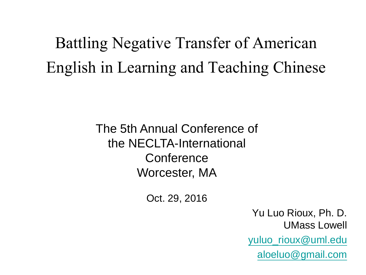Battling Negative Transfer of American English in Learning and Teaching Chinese

> The 5th Annual Conference of the NECLTA-International **Conference** Worcester, MA

> > Oct. 29, 2016

Yu Luo Rioux, Ph. D. UMass Lowell [yuluo\\_rioux@uml.edu](mailto:yuluo_rioux@uml.edu) [aloeluo@gmail.com](mailto:aloeluo@gmail.com)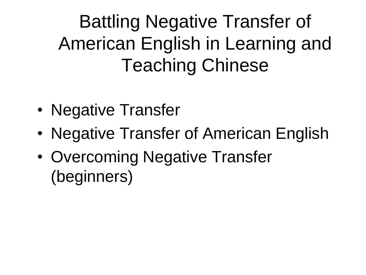## Battling Negative Transfer of American English in Learning and Teaching Chinese

- Negative Transfer
- Negative Transfer of American English
- Overcoming Negative Transfer (beginners)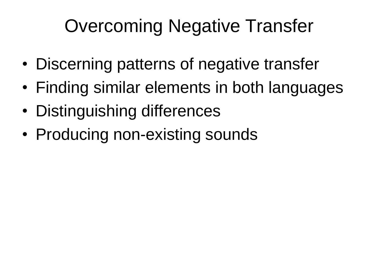- Discerning patterns of negative transfer
- Finding similar elements in both languages
- Distinguishing differences
- Producing non-existing sounds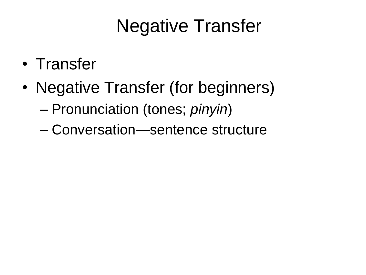#### Negative Transfer

- Transfer
- Negative Transfer (for beginners) – Pronunciation (tones; *pinyin*)
	- Conversation—sentence structure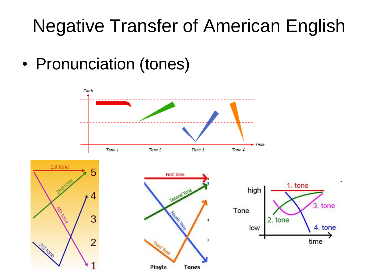#### Negative Transfer of American English

• Pronunciation (tones)

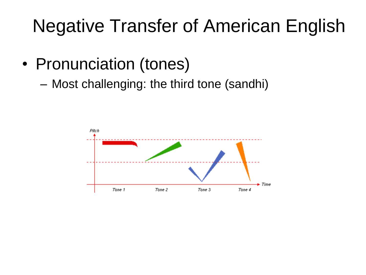#### Negative Transfer of American English

- Pronunciation (tones)
	- Most challenging: the third tone (sandhi)

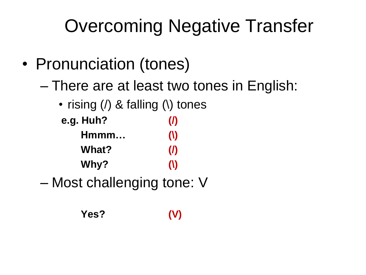- Pronunciation (tones)
	- There are at least two tones in English:
		- rising  $\langle \rangle$  & falling  $\langle \rangle$  tones
		- **e.g. Huh? (/) Hmmm… (\) What? (/) Why? (\)**
	- Most challenging tone: V

**Yes? (V)**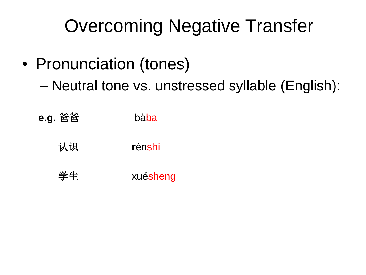- Pronunciation (tones)
	- Neutral tone vs. unstressed syllable (English):

| e.g. 爸爸 | bàba     |
|---------|----------|
| 认识      | rènshi   |
| 学生      | xuésheng |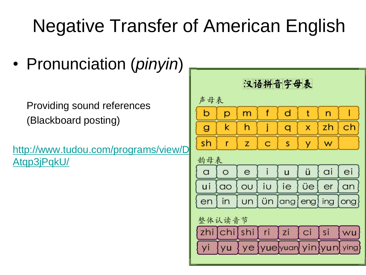## Negative Transfer of American English

• Pronunciation (*pinyin*)

Providing sound references (Blackboard posting)

[http://www.tudou.com/programs/view/D](http://www.tudou.com/programs/view/DAtqp3jPqkU/) Atqp3jPqkU/

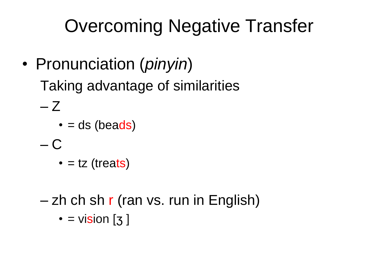- Pronunciation (*pinyin*) Taking advantage of similarities
	- $\bullet$  = ds (beads)
	- $C$

 $-Z$ 

- $\bullet$  = tz (treats)
- $-$  zh ch sh r (ran vs. run in English)  $\cdot$  = vision [ $\overline{3}$ ]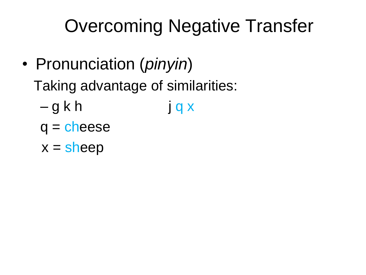- Pronunciation (*pinyin*) Taking advantage of similarities:  $-\mathsf{q}\,\mathsf{k}\,\mathsf{h}$  j q x  $q =$ cheese
	- $x =$ sheep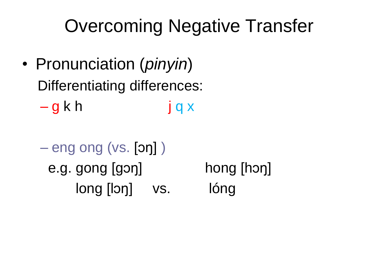• Pronunciation (*pinyin*) Differentiating differences:  $-\mathsf{g}\,\mathsf{k}\,\mathsf{h}$  j q x

 $-$  eng ong (vs.  $[$ on $]$ ) e.g. gong [gɔŋ] hong [hɔŋ] long [lɔŋ] vs. lóng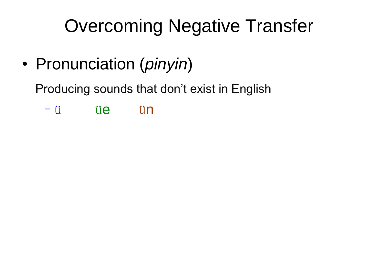• Pronunciation (*pinyin*)

Producing sounds that don't exist in English

–ü üe ün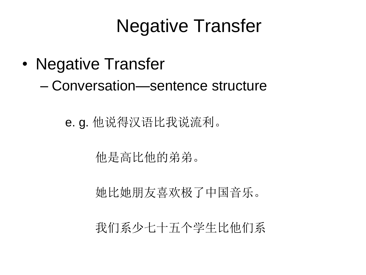#### Negative Transfer

- Negative Transfer
	- Conversation—sentence structure
		- e. g. 他说得汉语比我说流利。

#### 他是高比他的弟弟。

#### 她比她朋友喜欢极了中国音乐。

#### 我们系少七十五个学生比他们系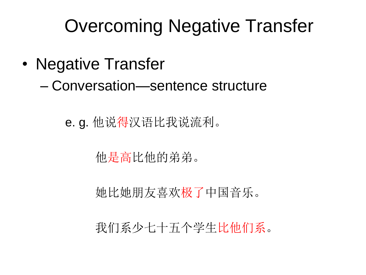• Negative Transfer

– Conversation—sentence structure

e. g. 他说得汉语比我说流利。

#### 他是高比他的弟弟。

她比她朋友喜欢极了中国音乐。

我们系少七十五个学生比他们系。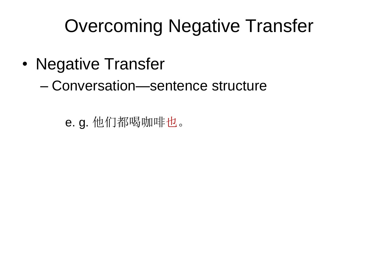• Negative Transfer

– Conversation—sentence structure

e. g. 他们都喝咖啡也。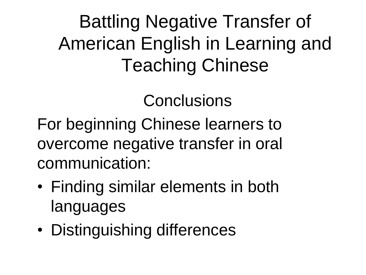Battling Negative Transfer of American English in Learning and Teaching Chinese

**Conclusions** 

For beginning Chinese learners to overcome negative transfer in oral communication:

- Finding similar elements in both languages
- Distinguishing differences